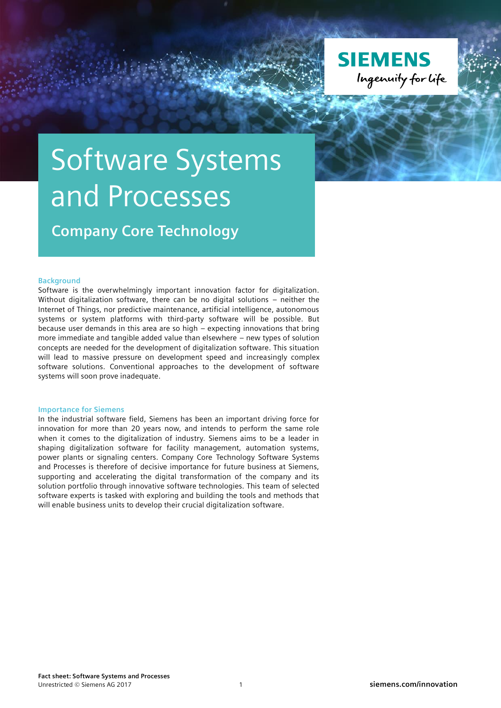

## Software Systems and Processes

**Company Core Technology**

## **Background**

Software is the overwhelmingly important innovation factor for digitalization. Without digitalization software, there can be no digital solutions – neither the Internet of Things, nor predictive maintenance, artificial intelligence, autonomous systems or system platforms with third-party software will be possible. But because user demands in this area are so high – expecting innovations that bring more immediate and tangible added value than elsewhere – new types of solution concepts are needed for the development of digitalization software. This situation will lead to massive pressure on development speed and increasingly complex software solutions. Conventional approaches to the development of software systems will soon prove inadequate.

## **Importance for Siemens**

In the industrial software field, Siemens has been an important driving force for innovation for more than 20 years now, and intends to perform the same role when it comes to the digitalization of industry. Siemens aims to be a leader in shaping digitalization software for facility management, automation systems, power plants or signaling centers. Company Core Technology Software Systems and Processes is therefore of decisive importance for future business at Siemens, supporting and accelerating the digital transformation of the company and its solution portfolio through innovative software technologies. This team of selected software experts is tasked with exploring and building the tools and methods that will enable business units to develop their crucial digitalization software.